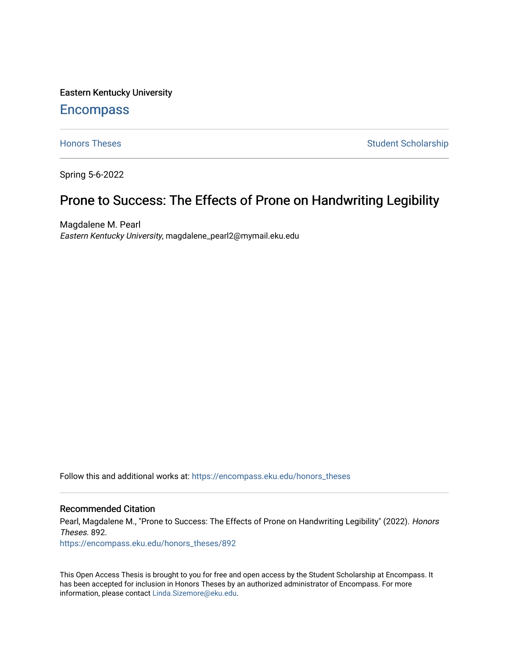Eastern Kentucky University

# **Encompass**

[Honors Theses](https://encompass.eku.edu/honors_theses) **Student Scholarship** Student Scholarship

Spring 5-6-2022

# Prone to Success: The Effects of Prone on Handwriting Legibility

Magdalene M. Pearl Eastern Kentucky University, magdalene\_pearl2@mymail.eku.edu

Follow this and additional works at: [https://encompass.eku.edu/honors\\_theses](https://encompass.eku.edu/honors_theses?utm_source=encompass.eku.edu%2Fhonors_theses%2F892&utm_medium=PDF&utm_campaign=PDFCoverPages) 

## Recommended Citation

Pearl, Magdalene M., "Prone to Success: The Effects of Prone on Handwriting Legibility" (2022). Honors Theses. 892.

[https://encompass.eku.edu/honors\\_theses/892](https://encompass.eku.edu/honors_theses/892?utm_source=encompass.eku.edu%2Fhonors_theses%2F892&utm_medium=PDF&utm_campaign=PDFCoverPages) 

This Open Access Thesis is brought to you for free and open access by the Student Scholarship at Encompass. It has been accepted for inclusion in Honors Theses by an authorized administrator of Encompass. For more information, please contact [Linda.Sizemore@eku.edu.](mailto:Linda.Sizemore@eku.edu)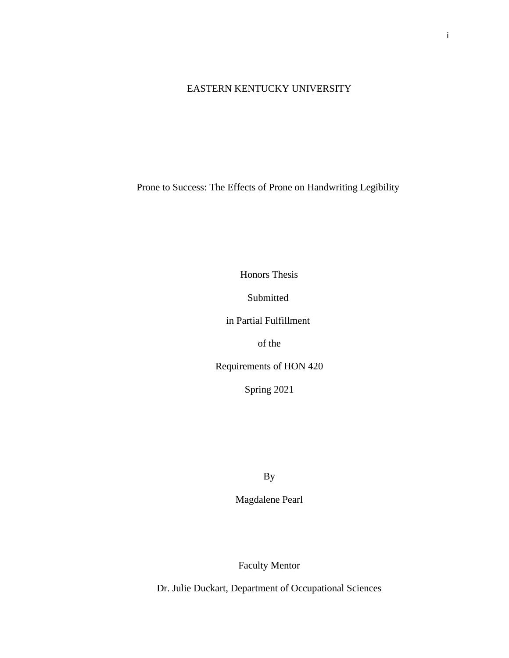# EASTERN KENTUCKY UNIVERSITY

Prone to Success: The Effects of Prone on Handwriting Legibility

Honors Thesis

Submitted

in Partial Fulfillment

of the

Requirements of HON 420

Spring 2021

By

Magdalene Pearl

Faculty Mentor

Dr. Julie Duckart, Department of Occupational Sciences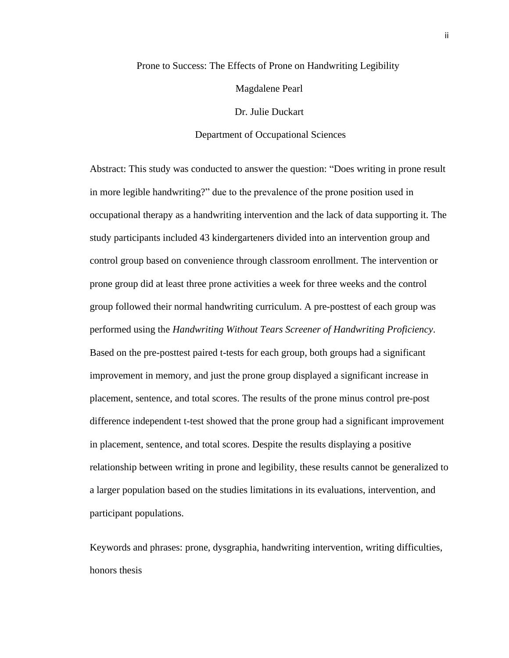# Prone to Success: The Effects of Prone on Handwriting Legibility

Magdalene Pearl

Dr. Julie Duckart

Department of Occupational Sciences

Abstract: This study was conducted to answer the question: "Does writing in prone result in more legible handwriting?" due to the prevalence of the prone position used in occupational therapy as a handwriting intervention and the lack of data supporting it. The study participants included 43 kindergarteners divided into an intervention group and control group based on convenience through classroom enrollment. The intervention or prone group did at least three prone activities a week for three weeks and the control group followed their normal handwriting curriculum. A pre-posttest of each group was performed using the *Handwriting Without Tears Screener of Handwriting Proficiency*. Based on the pre-posttest paired t-tests for each group, both groups had a significant improvement in memory, and just the prone group displayed a significant increase in placement, sentence, and total scores. The results of the prone minus control pre-post difference independent t-test showed that the prone group had a significant improvement in placement, sentence, and total scores. Despite the results displaying a positive relationship between writing in prone and legibility, these results cannot be generalized to a larger population based on the studies limitations in its evaluations, intervention, and participant populations.

Keywords and phrases: prone, dysgraphia, handwriting intervention, writing difficulties, honors thesis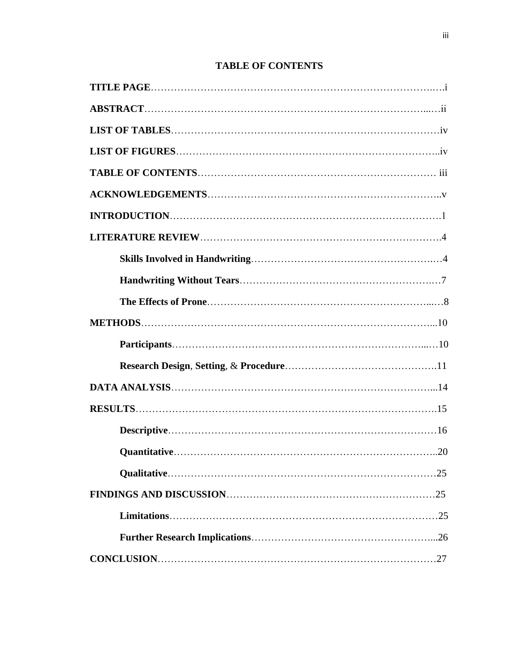# **TABLE OF CONTENTS**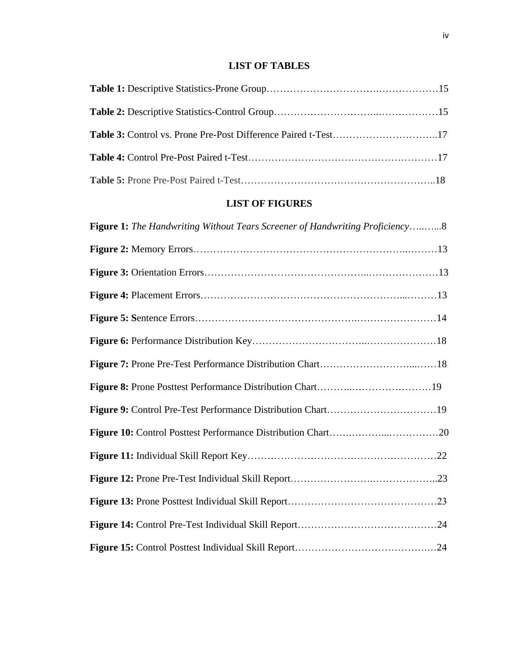# **LIST OF TABLES**

| Table 3: Control vs. Prone Pre-Post Difference Paired t-Test17 |  |
|----------------------------------------------------------------|--|
|                                                                |  |
|                                                                |  |

# **LIST OF FIGURES**

| <b>Figure 1:</b> The Handwriting Without Tears Screener of Handwriting Proficiency8 |
|-------------------------------------------------------------------------------------|
|                                                                                     |
|                                                                                     |
|                                                                                     |
|                                                                                     |
|                                                                                     |
|                                                                                     |
|                                                                                     |
|                                                                                     |
|                                                                                     |
|                                                                                     |
|                                                                                     |
|                                                                                     |
|                                                                                     |
|                                                                                     |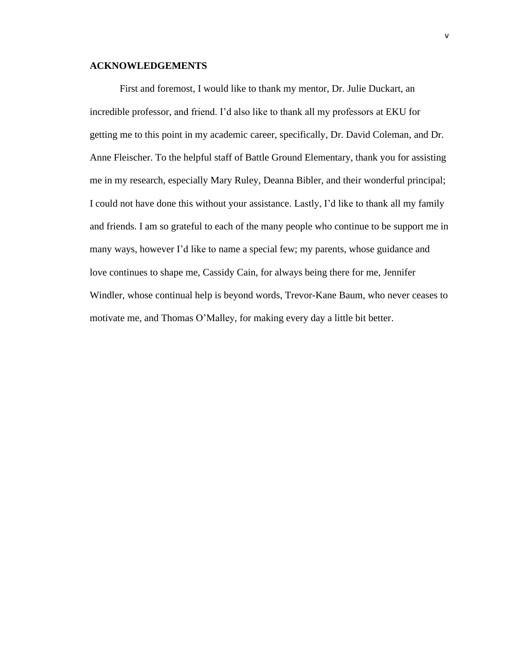### **ACKNOWLEDGEMENTS**

First and foremost, I would like to thank my mentor, Dr. Julie Duckart, an incredible professor, and friend. I'd also like to thank all my professors at EKU for getting me to this point in my academic career, specifically, Dr. David Coleman, and Dr. Anne Fleischer. To the helpful staff of Battle Ground Elementary, thank you for assisting me in my research, especially Mary Ruley, Deanna Bibler, and their wonderful principal; I could not have done this without your assistance. Lastly, I'd like to thank all my family and friends. I am so grateful to each of the many people who continue to be support me in many ways, however I'd like to name a special few; my parents, whose guidance and love continues to shape me, Cassidy Cain, for always being there for me, Jennifer Windler, whose continual help is beyond words, Trevor-Kane Baum, who never ceases to motivate me, and Thomas O'Malley, for making every day a little bit better.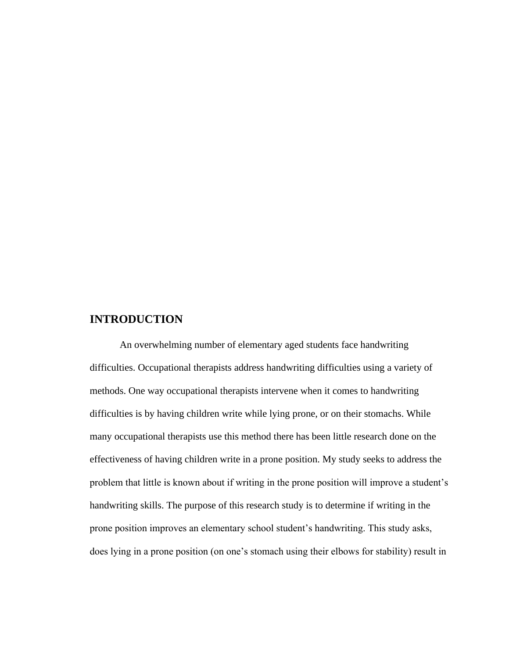# **INTRODUCTION**

An overwhelming number of elementary aged students face handwriting difficulties. Occupational therapists address handwriting difficulties using a variety of methods. One way occupational therapists intervene when it comes to handwriting difficulties is by having children write while lying prone, or on their stomachs. While many occupational therapists use this method there has been little research done on the effectiveness of having children write in a prone position. My study seeks to address the problem that little is known about if writing in the prone position will improve a student's handwriting skills. The purpose of this research study is to determine if writing in the prone position improves an elementary school student's handwriting. This study asks, does lying in a prone position (on one's stomach using their elbows for stability) result in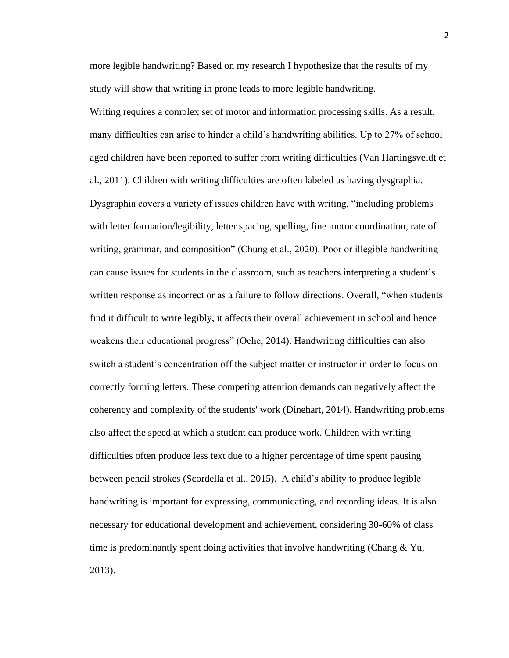more legible handwriting? Based on my research I hypothesize that the results of my study will show that writing in prone leads to more legible handwriting. Writing requires a complex set of motor and information processing skills. As a result, many difficulties can arise to hinder a child's handwriting abilities. Up to 27% of school aged children have been reported to suffer from writing difficulties (Van Hartingsveldt et al., 2011). Children with writing difficulties are often labeled as having dysgraphia. Dysgraphia covers a variety of issues children have with writing, "including problems with letter formation/legibility, letter spacing, spelling, fine motor coordination, rate of writing, grammar, and composition" (Chung et al., 2020). Poor or illegible handwriting can cause issues for students in the classroom, such as teachers interpreting a student's written response as incorrect or as a failure to follow directions. Overall, "when students find it difficult to write legibly, it affects their overall achievement in school and hence weakens their educational progress" (Oche, 2014). Handwriting difficulties can also switch a student's concentration off the subject matter or instructor in order to focus on correctly forming letters. These competing attention demands can negatively affect the coherency and complexity of the students' work (Dinehart, 2014). Handwriting problems also affect the speed at which a student can produce work. Children with writing difficulties often produce less text due to a higher percentage of time spent pausing between pencil strokes (Scordella et al., 2015). A child's ability to produce legible handwriting is important for expressing, communicating, and recording ideas. It is also necessary for educational development and achievement, considering 30-60% of class time is predominantly spent doing activities that involve handwriting (Chang & Yu, 2013).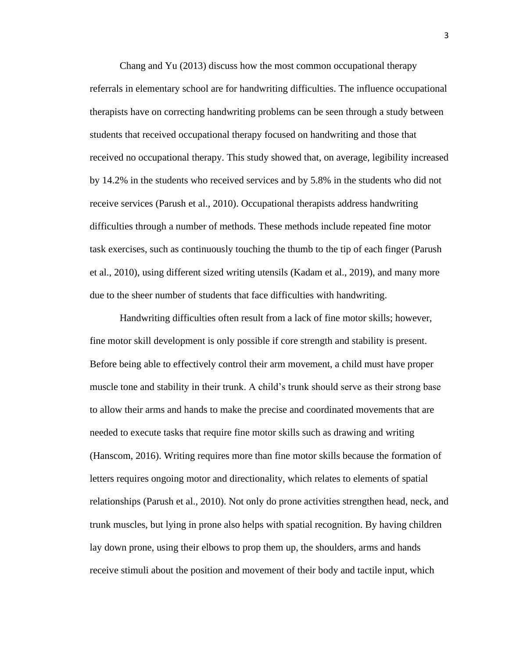Chang and Yu (2013) discuss how the most common occupational therapy referrals in elementary school are for handwriting difficulties. The influence occupational therapists have on correcting handwriting problems can be seen through a study between students that received occupational therapy focused on handwriting and those that received no occupational therapy. This study showed that, on average, legibility increased by 14.2% in the students who received services and by 5.8% in the students who did not receive services (Parush et al., 2010). Occupational therapists address handwriting difficulties through a number of methods. These methods include repeated fine motor task exercises, such as continuously touching the thumb to the tip of each finger (Parush et al., 2010), using different sized writing utensils (Kadam et al., 2019), and many more due to the sheer number of students that face difficulties with handwriting.

 Handwriting difficulties often result from a lack of fine motor skills; however, fine motor skill development is only possible if core strength and stability is present. Before being able to effectively control their arm movement, a child must have proper muscle tone and stability in their trunk. A child's trunk should serve as their strong base to allow their arms and hands to make the precise and coordinated movements that are needed to execute tasks that require fine motor skills such as drawing and writing (Hanscom, 2016). Writing requires more than fine motor skills because the formation of letters requires ongoing motor and directionality, which relates to elements of spatial relationships (Parush et al., 2010). Not only do prone activities strengthen head, neck, and trunk muscles, but lying in prone also helps with spatial recognition. By having children lay down prone, using their elbows to prop them up, the shoulders, arms and hands receive stimuli about the position and movement of their body and tactile input, which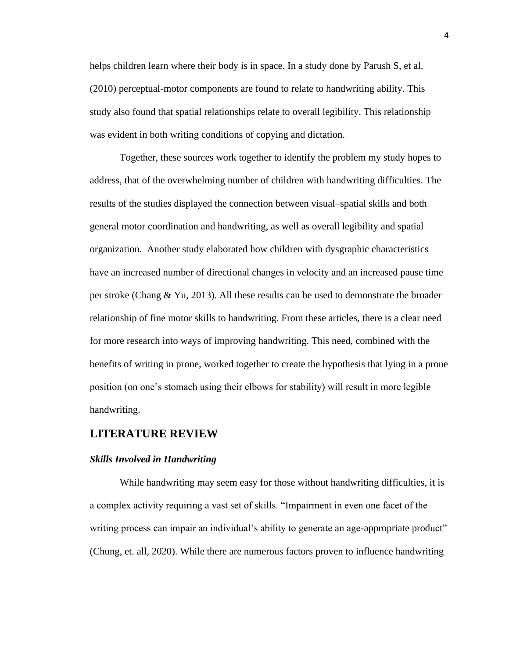helps children learn where their body is in space. In a study done by Parush S, et al. (2010) perceptual-motor components are found to relate to handwriting ability. This study also found that spatial relationships relate to overall legibility. This relationship was evident in both writing conditions of copying and dictation.

Together, these sources work together to identify the problem my study hopes to address, that of the overwhelming number of children with handwriting difficulties. The results of the studies displayed the connection between visual–spatial skills and both general motor coordination and handwriting, as well as overall legibility and spatial organization. Another study elaborated how children with dysgraphic characteristics have an increased number of directional changes in velocity and an increased pause time per stroke (Chang & Yu, 2013). All these results can be used to demonstrate the broader relationship of fine motor skills to handwriting. From these articles, there is a clear need for more research into ways of improving handwriting. This need, combined with the benefits of writing in prone, worked together to create the hypothesis that lying in a prone position (on one's stomach using their elbows for stability) will result in more legible handwriting.

# **LITERATURE REVIEW**

#### *Skills Involved in Handwriting*

While handwriting may seem easy for those without handwriting difficulties, it is a complex activity requiring a vast set of skills. "Impairment in even one facet of the writing process can impair an individual's ability to generate an age-appropriate product" (Chung, et. all, 2020). While there are numerous factors proven to influence handwriting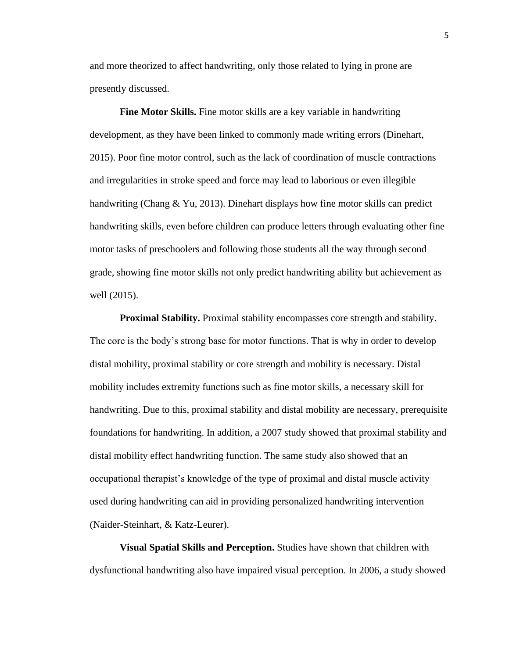and more theorized to affect handwriting, only those related to lying in prone are presently discussed.

**Fine Motor Skills.** Fine motor skills are a key variable in handwriting development, as they have been linked to commonly made writing errors (Dinehart, 2015). Poor fine motor control, such as the lack of coordination of muscle contractions and irregularities in stroke speed and force may lead to laborious or even illegible handwriting (Chang & Yu, 2013). Dinehart displays how fine motor skills can predict handwriting skills, even before children can produce letters through evaluating other fine motor tasks of preschoolers and following those students all the way through second grade, showing fine motor skills not only predict handwriting ability but achievement as well (2015).

**Proximal Stability.** Proximal stability encompasses core strength and stability. The core is the body's strong base for motor functions. That is why in order to develop distal mobility, proximal stability or core strength and mobility is necessary. Distal mobility includes extremity functions such as fine motor skills, a necessary skill for handwriting. Due to this, proximal stability and distal mobility are necessary, prerequisite foundations for handwriting. In addition, a 2007 study showed that proximal stability and distal mobility effect handwriting function. The same study also showed that an occupational therapist's knowledge of the type of proximal and distal muscle activity used during handwriting can aid in providing personalized handwriting intervention (Naider-Steinhart, & Katz-Leurer).

**Visual Spatial Skills and Perception.** Studies have shown that children with dysfunctional handwriting also have impaired visual perception. In 2006, a study showed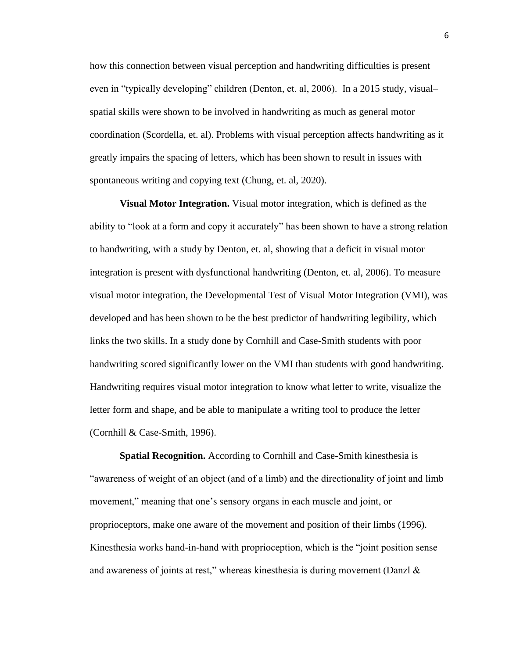how this connection between visual perception and handwriting difficulties is present even in "typically developing" children (Denton, et. al, 2006). In a 2015 study, visual– spatial skills were shown to be involved in handwriting as much as general motor coordination (Scordella, et. al). Problems with visual perception affects handwriting as it greatly impairs the spacing of letters, which has been shown to result in issues with spontaneous writing and copying text (Chung, et. al, 2020).

**Visual Motor Integration.** Visual motor integration, which is defined as the ability to "look at a form and copy it accurately" has been shown to have a strong relation to handwriting, with a study by Denton, et. al, showing that a deficit in visual motor integration is present with dysfunctional handwriting (Denton, et. al, 2006). To measure visual motor integration, the Developmental Test of Visual Motor Integration (VMI), was developed and has been shown to be the best predictor of handwriting legibility, which links the two skills. In a study done by Cornhill and Case-Smith students with poor handwriting scored significantly lower on the VMI than students with good handwriting. Handwriting requires visual motor integration to know what letter to write, visualize the letter form and shape, and be able to manipulate a writing tool to produce the letter (Cornhill & Case-Smith, 1996).

**Spatial Recognition.** According to Cornhill and Case-Smith kinesthesia is "awareness of weight of an object (and of a limb) and the directionality of joint and limb movement," meaning that one's sensory organs in each muscle and joint, or proprioceptors, make one aware of the movement and position of their limbs (1996). Kinesthesia works hand-in-hand with proprioception, which is the "joint position sense and awareness of joints at rest," whereas kinesthesia is during movement (Danzl &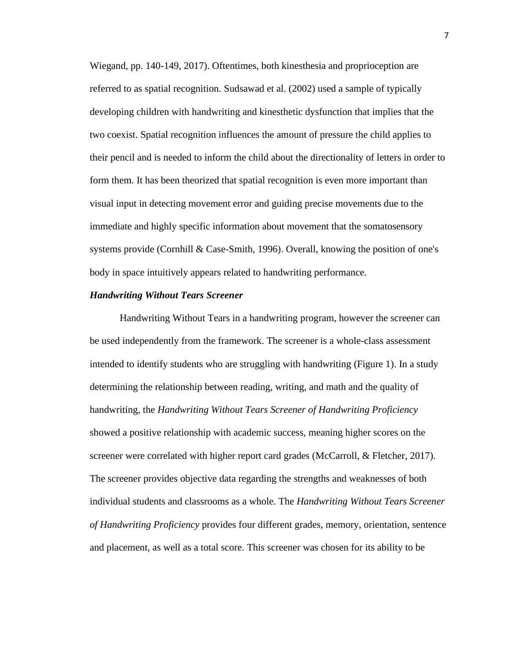Wiegand, pp. 140-149, 2017). Oftentimes, both kinesthesia and proprioception are referred to as spatial recognition. Sudsawad et al. (2002) used a sample of typically developing children with handwriting and kinesthetic dysfunction that implies that the two coexist. Spatial recognition influences the amount of pressure the child applies to their pencil and is needed to inform the child about the directionality of letters in order to form them. It has been theorized that spatial recognition is even more important than visual input in detecting movement error and guiding precise movements due to the immediate and highly specific information about movement that the somatosensory systems provide (Cornhill & Case-Smith, 1996). Overall, knowing the position of one's body in space intuitively appears related to handwriting performance.

# *Handwriting Without Tears Screener*

Handwriting Without Tears in a handwriting program, however the screener can be used independently from the framework. The screener is a whole-class assessment intended to identify students who are struggling with handwriting (Figure 1). In a study determining the relationship between reading, writing, and math and the quality of handwriting, the *Handwriting Without Tears Screener of Handwriting Proficiency* showed a positive relationship with academic success, meaning higher scores on the screener were correlated with higher report card grades (McCarroll, & Fletcher, 2017). The screener provides objective data regarding the strengths and weaknesses of both individual students and classrooms as a whole. The *Handwriting Without Tears Screener of Handwriting Proficiency* provides four different grades, memory, orientation, sentence and placement, as well as a total score. This screener was chosen for its ability to be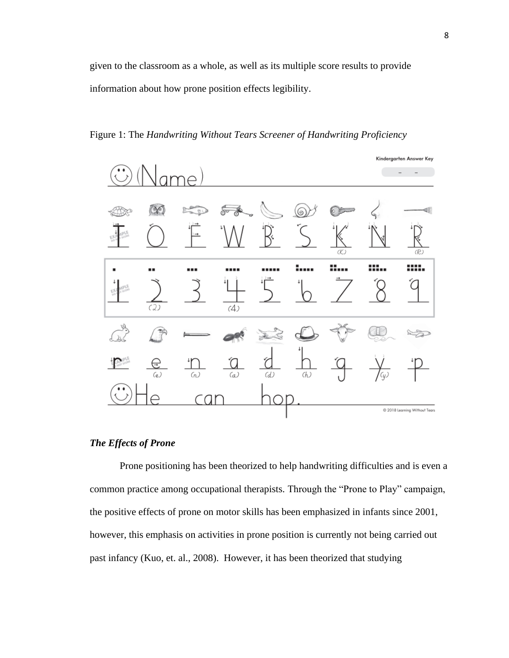given to the classroom as a whole, as well as its multiple score results to provide information about how prone position effects legibility.

Figure 1: The *Handwriting Without Tears Screener of Handwriting Proficiency*



## *The Effects of Prone*

Prone positioning has been theorized to help handwriting difficulties and is even a common practice among occupational therapists. Through the "Prone to Play" campaign, the positive effects of prone on motor skills has been emphasized in infants since 2001, however, this emphasis on activities in prone position is currently not being carried out past infancy (Kuo, et. al., 2008). However, it has been theorized that studying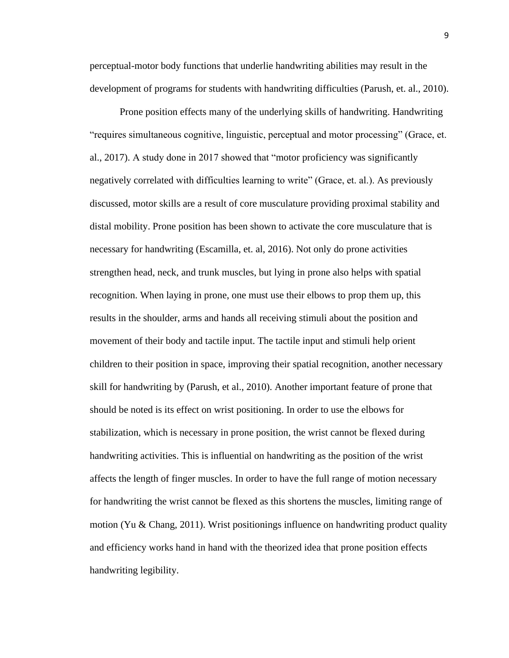perceptual-motor body functions that underlie handwriting abilities may result in the development of programs for students with handwriting difficulties (Parush, et. al., 2010).

Prone position effects many of the underlying skills of handwriting. Handwriting "requires simultaneous cognitive, linguistic, perceptual and motor processing" (Grace, et. al., 2017). A study done in 2017 showed that "motor proficiency was significantly negatively correlated with difficulties learning to write" (Grace, et. al.). As previously discussed, motor skills are a result of core musculature providing proximal stability and distal mobility. Prone position has been shown to activate the core musculature that is necessary for handwriting (Escamilla, et. al, 2016). Not only do prone activities strengthen head, neck, and trunk muscles, but lying in prone also helps with spatial recognition. When laying in prone, one must use their elbows to prop them up, this results in the shoulder, arms and hands all receiving stimuli about the position and movement of their body and tactile input. The tactile input and stimuli help orient children to their position in space, improving their spatial recognition, another necessary skill for handwriting by (Parush, et al., 2010). Another important feature of prone that should be noted is its effect on wrist positioning. In order to use the elbows for stabilization, which is necessary in prone position, the wrist cannot be flexed during handwriting activities. This is influential on handwriting as the position of the wrist affects the length of finger muscles. In order to have the full range of motion necessary for handwriting the wrist cannot be flexed as this shortens the muscles, limiting range of motion (Yu & Chang, 2011). Wrist positionings influence on handwriting product quality and efficiency works hand in hand with the theorized idea that prone position effects handwriting legibility.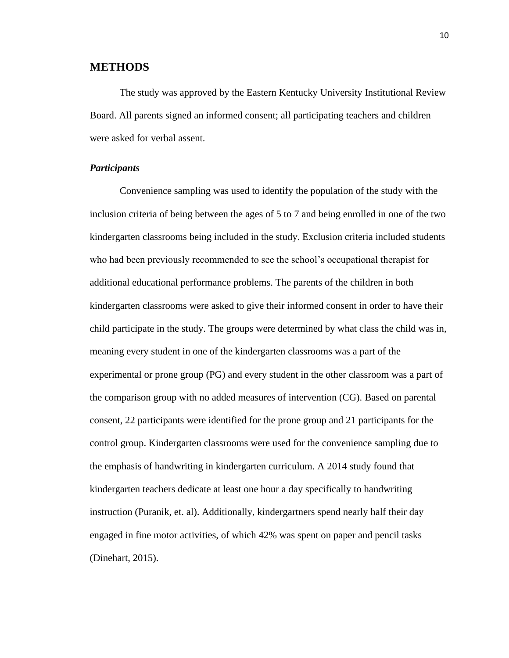# **METHODS**

The study was approved by the Eastern Kentucky University Institutional Review Board. All parents signed an informed consent; all participating teachers and children were asked for verbal assent.

## *Participants*

Convenience sampling was used to identify the population of the study with the inclusion criteria of being between the ages of 5 to 7 and being enrolled in one of the two kindergarten classrooms being included in the study. Exclusion criteria included students who had been previously recommended to see the school's occupational therapist for additional educational performance problems. The parents of the children in both kindergarten classrooms were asked to give their informed consent in order to have their child participate in the study. The groups were determined by what class the child was in, meaning every student in one of the kindergarten classrooms was a part of the experimental or prone group (PG) and every student in the other classroom was a part of the comparison group with no added measures of intervention (CG). Based on parental consent, 22 participants were identified for the prone group and 21 participants for the control group. Kindergarten classrooms were used for the convenience sampling due to the emphasis of handwriting in kindergarten curriculum. A 2014 study found that kindergarten teachers dedicate at least one hour a day specifically to handwriting instruction (Puranik, et. al). Additionally, kindergartners spend nearly half their day engaged in fine motor activities, of which 42% was spent on paper and pencil tasks (Dinehart, 2015).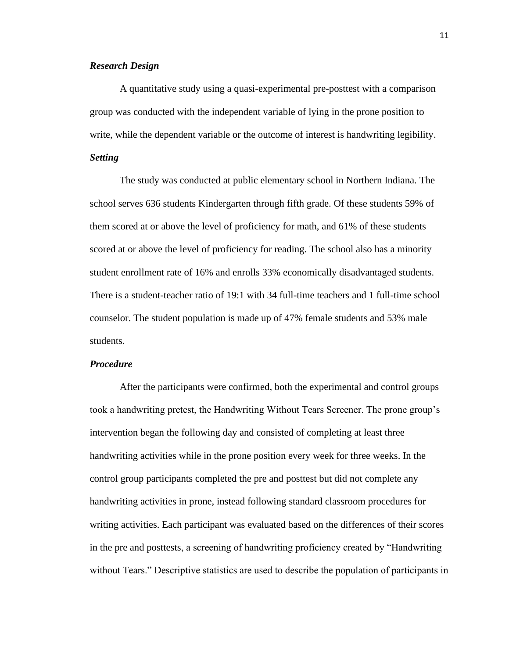#### *Research Design*

A quantitative study using a quasi-experimental pre-posttest with a comparison group was conducted with the independent variable of lying in the prone position to write, while the dependent variable or the outcome of interest is handwriting legibility.

# *Setting*

The study was conducted at public elementary school in Northern Indiana. The school serves 636 students Kindergarten through fifth grade. Of these students 59% of them scored at or above the level of proficiency for math, and 61% of these students scored at or above the level of proficiency for reading. The school also has a minority student enrollment rate of 16% and enrolls 33% economically disadvantaged students. There is a student-teacher ratio of 19:1 with 34 full-time teachers and 1 full-time school counselor. The student population is made up of 47% female students and 53% male students.

#### *Procedure*

After the participants were confirmed, both the experimental and control groups took a handwriting pretest, the Handwriting Without Tears Screener. The prone group's intervention began the following day and consisted of completing at least three handwriting activities while in the prone position every week for three weeks. In the control group participants completed the pre and posttest but did not complete any handwriting activities in prone, instead following standard classroom procedures for writing activities. Each participant was evaluated based on the differences of their scores in the pre and posttests, a screening of handwriting proficiency created by "Handwriting without Tears." Descriptive statistics are used to describe the population of participants in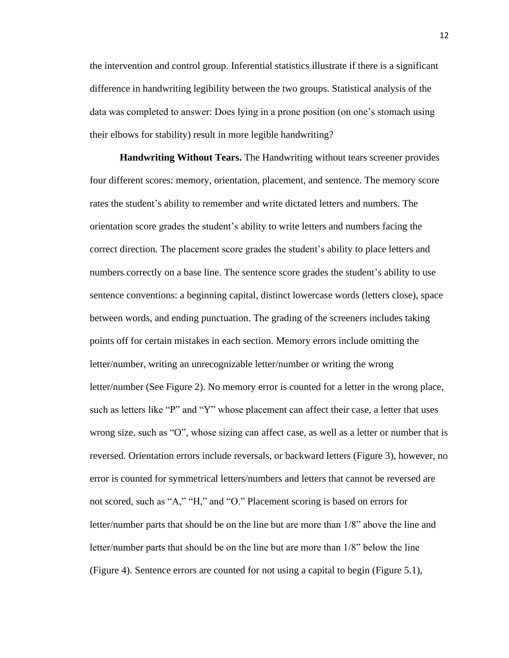the intervention and control group. Inferential statistics illustrate if there is a significant difference in handwriting legibility between the two groups. Statistical analysis of the data was completed to answer: Does lying in a prone position (on one's stomach using their elbows for stability) result in more legible handwriting?

**Handwriting Without Tears.** The Handwriting without tears screener provides four different scores: memory, orientation, placement, and sentence. The memory score rates the student's ability to remember and write dictated letters and numbers. The orientation score grades the student's ability to write letters and numbers facing the correct direction. The placement score grades the student's ability to place letters and numbers correctly on a base line. The sentence score grades the student's ability to use sentence conventions: a beginning capital, distinct lowercase words (letters close), space between words, and ending punctuation. The grading of the screeners includes taking points off for certain mistakes in each section. Memory errors include omitting the letter/number, writing an unrecognizable letter/number or writing the wrong letter/number (See Figure 2). No memory error is counted for a letter in the wrong place, such as letters like "P" and "Y" whose placement can affect their case, a letter that uses wrong size, such as "O", whose sizing can affect case, as well as a letter or number that is reversed. Orientation errors include reversals, or backward letters (Figure 3), however, no error is counted for symmetrical letters/numbers and letters that cannot be reversed are not scored, such as "A," "H," and "O." Placement scoring is based on errors for letter/number parts that should be on the line but are more than 1/8" above the line and letter/number parts that should be on the line but are more than 1/8" below the line (Figure 4). Sentence errors are counted for not using a capital to begin (Figure 5.1),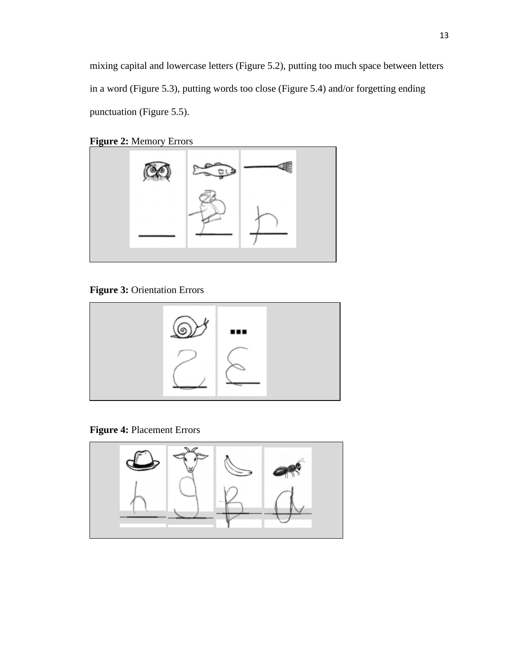mixing capital and lowercase letters (Figure 5.2), putting too much space between letters in a word (Figure 5.3), putting words too close (Figure 5.4) and/or forgetting ending punctuation (Figure 5.5).

```
Figure 2: Memory Errors
```


**Figure 3:** Orientation Errors



**Figure 4:** Placement Errors

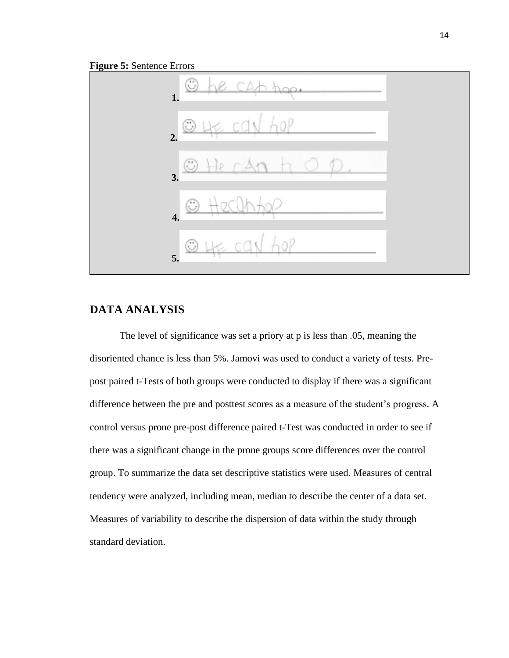



# **DATA ANALYSIS**

The level of significance was set a priory at p is less than .05, meaning the disoriented chance is less than 5%. Jamovi was used to conduct a variety of tests. Prepost paired t-Tests of both groups were conducted to display if there was a significant difference between the pre and posttest scores as a measure of the student's progress. A control versus prone pre-post difference paired t-Test was conducted in order to see if there was a significant change in the prone groups score differences over the control group. To summarize the data set descriptive statistics were used. Measures of central tendency were analyzed, including mean, median to describe the center of a data set. Measures of variability to describe the dispersion of data within the study through standard deviation.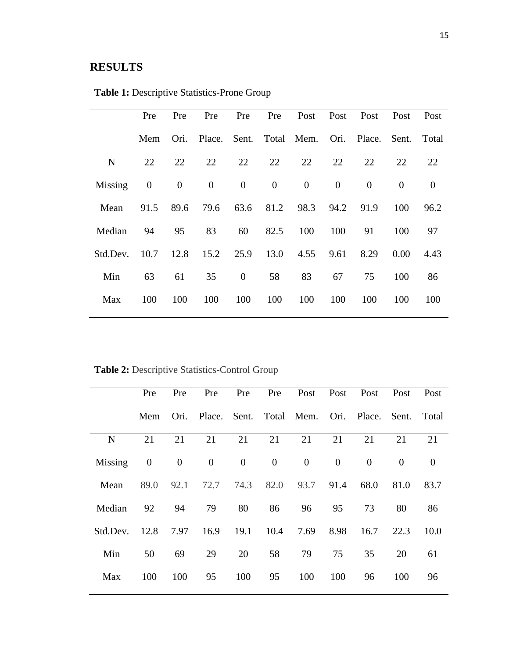# **RESULTS**

|          | Pre              | Pre              | Pre              | Pre              | Pre      | Post                  | Post             | Post     | Post           | Post     |
|----------|------------------|------------------|------------------|------------------|----------|-----------------------|------------------|----------|----------------|----------|
|          | Mem              | Ori.             | Place.           |                  |          | Sent. Total Mem. Ori. |                  | Place.   | Sent.          | Total    |
| N        | 22               | 22               | 22               | 22               | 22       | 22                    | 22               | 22       | 22             | 22       |
| Missing  | $\boldsymbol{0}$ | $\boldsymbol{0}$ | $\boldsymbol{0}$ | $\boldsymbol{0}$ | $\theta$ | $\boldsymbol{0}$      | $\boldsymbol{0}$ | $\theta$ | $\overline{0}$ | $\theta$ |
| Mean     | 91.5             | 89.6             | 79.6             | 63.6             | 81.2     | 98.3                  | 94.2             | 91.9     | 100            | 96.2     |
| Median   | 94               | 95               | 83               | 60               | 82.5     | 100                   | 100              | 91       | 100            | 97       |
| Std.Dev. | 10.7             | 12.8             | 15.2             | 25.9             | 13.0     | 4.55                  | 9.61             | 8.29     | 0.00           | 4.43     |
| Min      | 63               | 61               | 35               | $\theta$         | 58       | 83                    | 67               | 75       | 100            | 86       |
| Max      | 100              | 100              | 100              | 100              | 100      | 100                   | 100              | 100      | 100            | 100      |

**Table 1:** Descriptive Statistics-Prone Group

**Table 2:** Descriptive Statistics-Control Group

|             | Pre              | Pre              | Pre            | Pre            | Pre              | Post                         | Post           | Post     | Post     | Post     |
|-------------|------------------|------------------|----------------|----------------|------------------|------------------------------|----------------|----------|----------|----------|
|             | Mem              | Ori.             |                |                |                  | Place. Sent. Total Mem. Ori. |                | Place.   | Sent.    | Total    |
| $\mathbf N$ | 21               | 21               | 21             | 21             | 21               | 21                           | 21             | 21       | 21       | 21       |
| Missing     | $\boldsymbol{0}$ | $\boldsymbol{0}$ | $\overline{0}$ | $\overline{0}$ | $\boldsymbol{0}$ | $\overline{0}$               | $\overline{0}$ | $\theta$ | $\theta$ | $\theta$ |
| Mean        | 89.0             | 92.1             | 72.7           | 74.3           | 82.0             | 93.7                         | 91.4           | 68.0     | 81.0     | 83.7     |
| Median      | 92               | 94               | 79             | 80             | 86               | 96                           | 95             | 73       | 80       | 86       |
| Std.Dev.    | 12.8             | 7.97             | 16.9           | 19.1           | 10.4             | 7.69                         | 8.98           | 16.7     | 22.3     | 10.0     |
| Min         | 50               | 69               | 29             | 20             | 58               | 79                           | 75             | 35       | 20       | 61       |
| Max         | 100              | 100              | 95             | 100            | 95               | 100                          | 100            | 96       | 100      | 96       |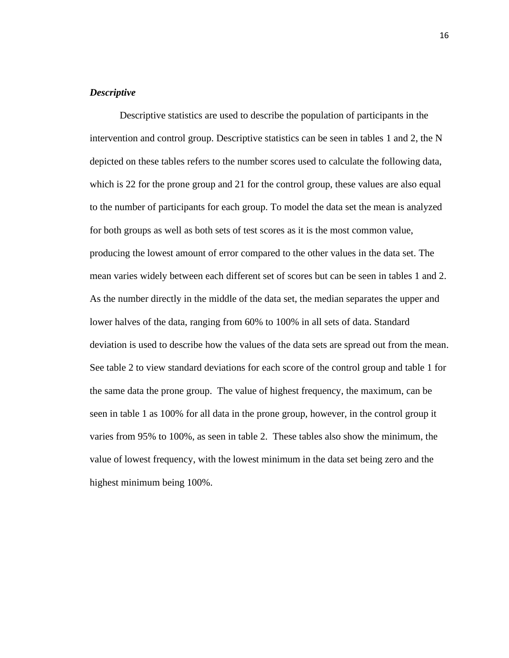# *Descriptive*

Descriptive statistics are used to describe the population of participants in the intervention and control group. Descriptive statistics can be seen in tables 1 and 2, the N depicted on these tables refers to the number scores used to calculate the following data, which is 22 for the prone group and 21 for the control group, these values are also equal to the number of participants for each group. To model the data set the mean is analyzed for both groups as well as both sets of test scores as it is the most common value, producing the lowest amount of error compared to the other values in the data set. The mean varies widely between each different set of scores but can be seen in tables 1 and 2. As the number directly in the middle of the data set, the median separates the upper and lower halves of the data, ranging from 60% to 100% in all sets of data. Standard deviation is used to describe how the values of the data sets are spread out from the mean. See table 2 to view standard deviations for each score of the control group and table 1 for the same data the prone group. The value of highest frequency, the maximum, can be seen in table 1 as 100% for all data in the prone group, however, in the control group it varies from 95% to 100%, as seen in table 2. These tables also show the minimum, the value of lowest frequency, with the lowest minimum in the data set being zero and the highest minimum being 100%.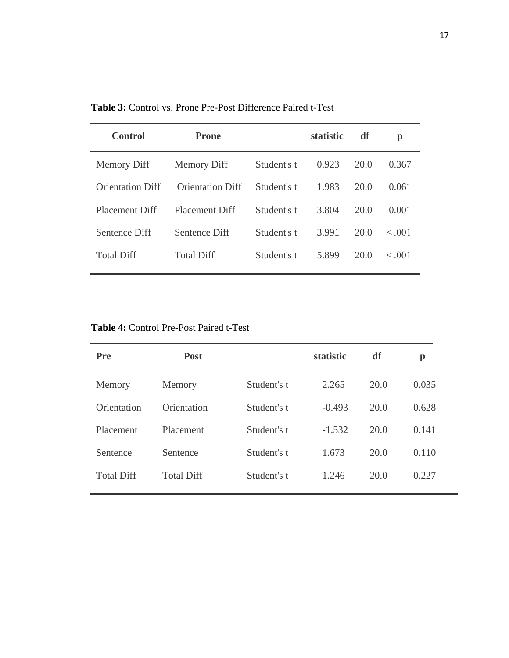| <b>Control</b>          | <b>Prone</b>            |             | <b>statistic</b> | df   | p           |
|-------------------------|-------------------------|-------------|------------------|------|-------------|
| <b>Memory Diff</b>      | <b>Memory Diff</b>      | Student's t | 0.923            | 20.0 | 0.367       |
| <b>Orientation Diff</b> | <b>Orientation Diff</b> | Student's t | 1.983            | 20.0 | 0.061       |
| <b>Placement Diff</b>   | <b>Placement Diff</b>   | Student's t | 3.804            | 20.0 | 0.001       |
| Sentence Diff           | Sentence Diff           | Student's t | 3.991            | 20.0 | $\leq .001$ |
| <b>Total Diff</b>       | <b>Total Diff</b>       | Student's t | 5.899            | 20.0 | $\leq .001$ |

**Table 3:** Control vs. Prone Pre-Post Difference Paired t-Test

|  | <b>Table 4: Control Pre-Post Paired t-Test</b> |  |
|--|------------------------------------------------|--|
|  |                                                |  |

| <b>Pre</b>        | <b>Post</b>       |             | statistic | df   | $\mathbf{p}$ |
|-------------------|-------------------|-------------|-----------|------|--------------|
| Memory            | Memory            | Student's t | 2.265     | 20.0 | 0.035        |
| Orientation       | Orientation       | Student's t | $-0.493$  | 20.0 | 0.628        |
| Placement         | Placement         | Student's t | $-1.532$  | 20.0 | 0.141        |
| Sentence          | Sentence          | Student's t | 1.673     | 20.0 | 0.110        |
| <b>Total Diff</b> | <b>Total Diff</b> | Student's t | 1.246     | 20.0 | 0.227        |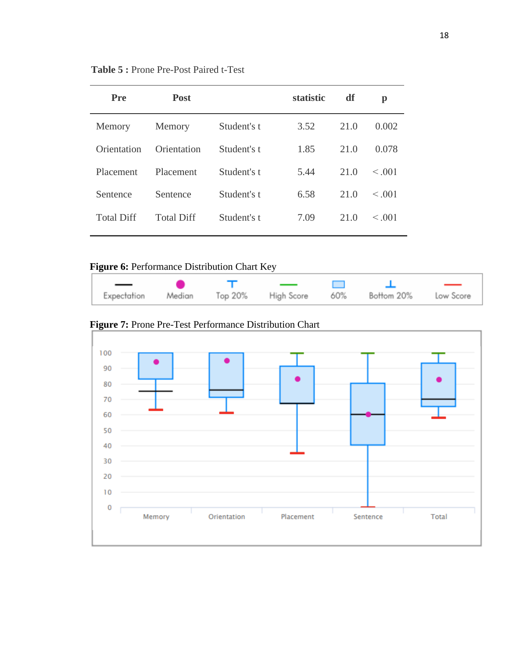| <b>Table 5: Prone Pre-Post Paired t-Test</b> |
|----------------------------------------------|
|----------------------------------------------|

| Pre               | <b>Post</b>       |             | statistic | df   | p           |
|-------------------|-------------------|-------------|-----------|------|-------------|
| Memory            | Memory            | Student's t | 3.52      | 21.0 | 0.002       |
| Orientation       | Orientation       | Student's t | 1.85      | 21.0 | 0.078       |
| Placement         | Placement         | Student's t | 5.44      | 21.0 | $\leq .001$ |
| Sentence          | Sentence          | Student's t | 6.58      | 21.0 | < 0.001     |
| <b>Total Diff</b> | <b>Total Diff</b> | Student's t | 7.09      | 21.0 | $\leq .001$ |
|                   |                   |             |           |      |             |

# **Figure 6:** Performance Distribution Chart Key

|  | $\overline{\phantom{a}}$ |                                                                |  |
|--|--------------------------|----------------------------------------------------------------|--|
|  |                          | Expectation Median Top 20% High Score 60% Bottom 20% Low Score |  |

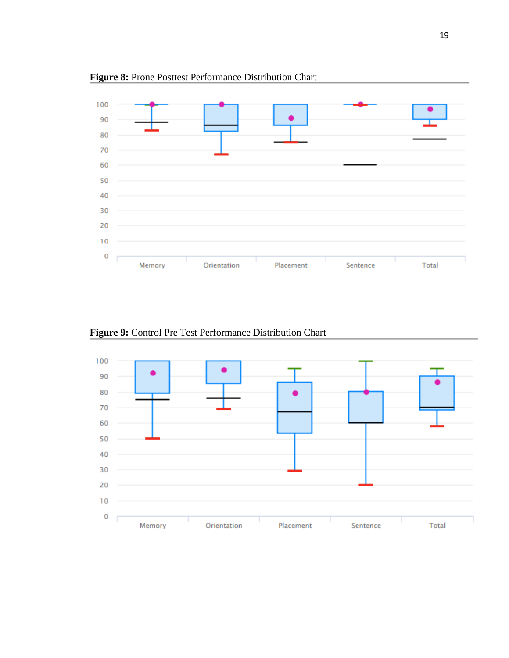

**Figure 8:** Prone Posttest Performance Distribution Chart

**Figure 9:** Control Pre Test Performance Distribution Chart

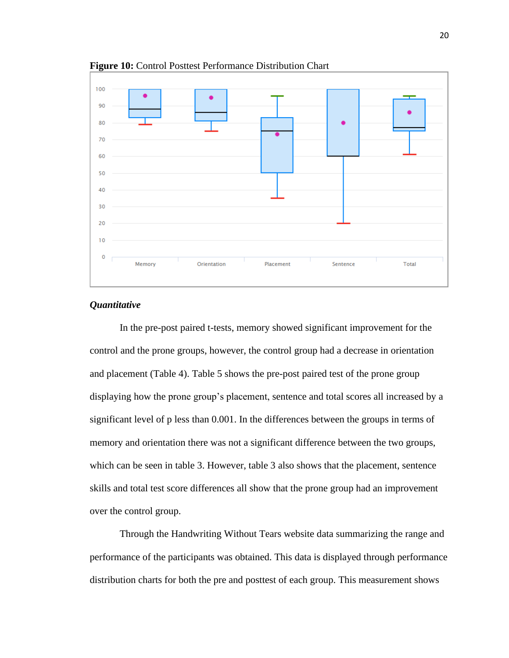

**Figure 10:** Control Posttest Performance Distribution Chart

## *Quantitative*

In the pre-post paired t-tests, memory showed significant improvement for the control and the prone groups, however, the control group had a decrease in orientation and placement (Table 4). Table 5 shows the pre-post paired test of the prone group displaying how the prone group's placement, sentence and total scores all increased by a significant level of p less than 0.001. In the differences between the groups in terms of memory and orientation there was not a significant difference between the two groups, which can be seen in table 3. However, table 3 also shows that the placement, sentence skills and total test score differences all show that the prone group had an improvement over the control group.

Through the Handwriting Without Tears website data summarizing the range and performance of the participants was obtained. This data is displayed through performance distribution charts for both the pre and posttest of each group. This measurement shows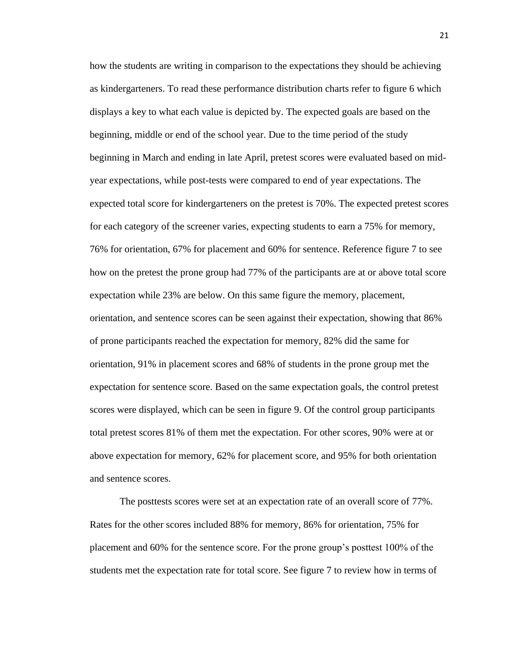how the students are writing in comparison to the expectations they should be achieving as kindergarteners. To read these performance distribution charts refer to figure 6 which displays a key to what each value is depicted by. The expected goals are based on the beginning, middle or end of the school year. Due to the time period of the study beginning in March and ending in late April, pretest scores were evaluated based on midyear expectations, while post-tests were compared to end of year expectations. The expected total score for kindergarteners on the pretest is 70%. The expected pretest scores for each category of the screener varies, expecting students to earn a 75% for memory, 76% for orientation, 67% for placement and 60% for sentence. Reference figure 7 to see how on the pretest the prone group had 77% of the participants are at or above total score expectation while 23% are below. On this same figure the memory, placement, orientation, and sentence scores can be seen against their expectation, showing that 86% of prone participants reached the expectation for memory, 82% did the same for orientation, 91% in placement scores and 68% of students in the prone group met the expectation for sentence score. Based on the same expectation goals, the control pretest scores were displayed, which can be seen in figure 9. Of the control group participants total pretest scores 81% of them met the expectation. For other scores, 90% were at or above expectation for memory, 62% for placement score, and 95% for both orientation and sentence scores.

The posttests scores were set at an expectation rate of an overall score of 77%. Rates for the other scores included 88% for memory, 86% for orientation, 75% for placement and 60% for the sentence score. For the prone group's posttest 100% of the students met the expectation rate for total score. See figure 7 to review how in terms of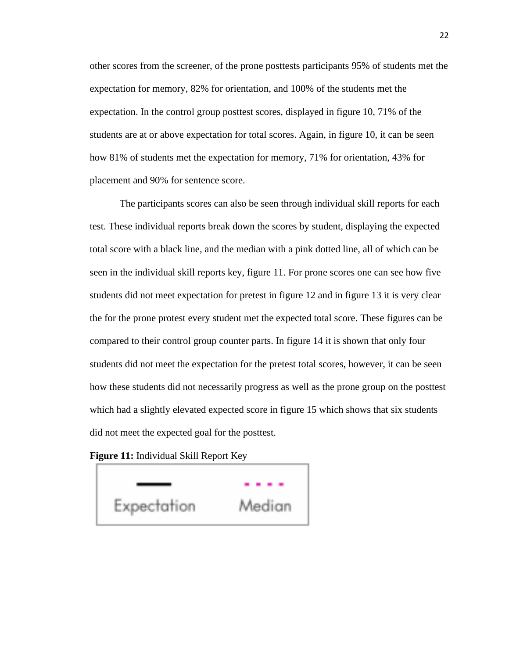other scores from the screener, of the prone posttests participants 95% of students met the expectation for memory, 82% for orientation, and 100% of the students met the expectation. In the control group posttest scores, displayed in figure 10, 71% of the students are at or above expectation for total scores. Again, in figure 10, it can be seen how 81% of students met the expectation for memory, 71% for orientation, 43% for placement and 90% for sentence score.

The participants scores can also be seen through individual skill reports for each test. These individual reports break down the scores by student, displaying the expected total score with a black line, and the median with a pink dotted line, all of which can be seen in the individual skill reports key, figure 11. For prone scores one can see how five students did not meet expectation for pretest in figure 12 and in figure 13 it is very clear the for the prone protest every student met the expected total score. These figures can be compared to their control group counter parts. In figure 14 it is shown that only four students did not meet the expectation for the pretest total scores, however, it can be seen how these students did not necessarily progress as well as the prone group on the posttest which had a slightly elevated expected score in figure 15 which shows that six students did not meet the expected goal for the posttest.

**Figure 11:** Individual Skill Report Key

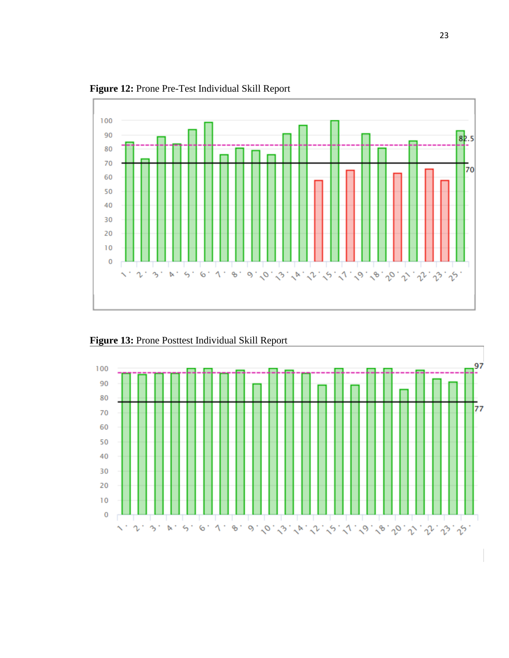

**Figure 12:** Prone Pre-Test Individual Skill Report

**Figure 13:** Prone Posttest Individual Skill Report

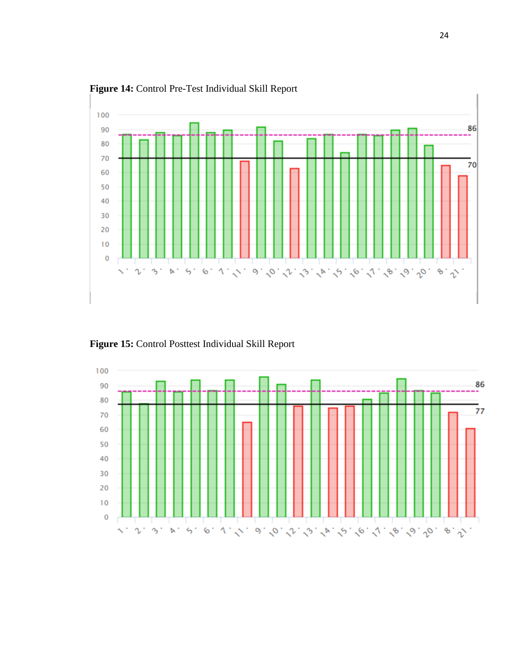

**Figure 14:** Control Pre-Test Individual Skill Report

**Figure 15:** Control Posttest Individual Skill Report

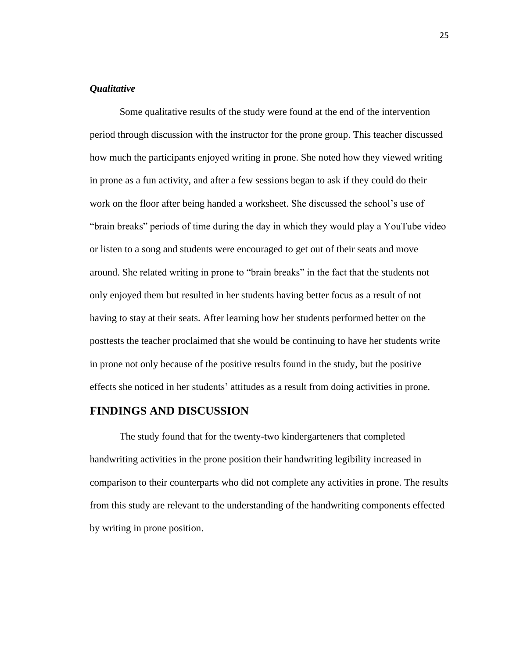## *Qualitative*

Some qualitative results of the study were found at the end of the intervention period through discussion with the instructor for the prone group. This teacher discussed how much the participants enjoyed writing in prone. She noted how they viewed writing in prone as a fun activity, and after a few sessions began to ask if they could do their work on the floor after being handed a worksheet. She discussed the school's use of "brain breaks" periods of time during the day in which they would play a YouTube video or listen to a song and students were encouraged to get out of their seats and move around. She related writing in prone to "brain breaks" in the fact that the students not only enjoyed them but resulted in her students having better focus as a result of not having to stay at their seats. After learning how her students performed better on the posttests the teacher proclaimed that she would be continuing to have her students write in prone not only because of the positive results found in the study, but the positive effects she noticed in her students' attitudes as a result from doing activities in prone.

## **FINDINGS AND DISCUSSION**

The study found that for the twenty-two kindergarteners that completed handwriting activities in the prone position their handwriting legibility increased in comparison to their counterparts who did not complete any activities in prone. The results from this study are relevant to the understanding of the handwriting components effected by writing in prone position.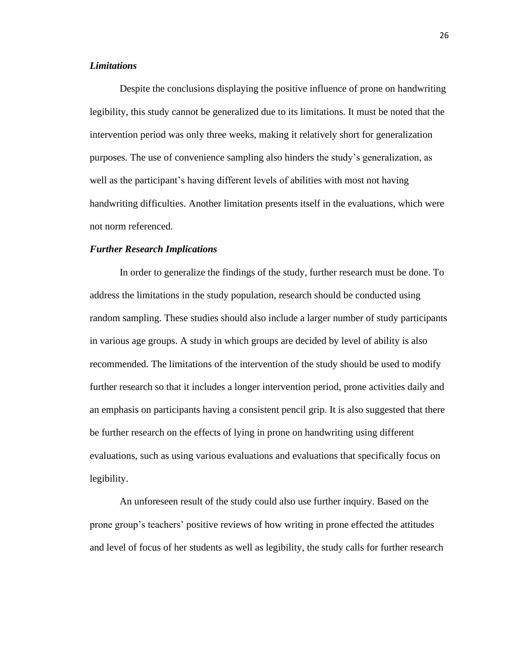## *Limitations*

Despite the conclusions displaying the positive influence of prone on handwriting legibility, this study cannot be generalized due to its limitations. It must be noted that the intervention period was only three weeks, making it relatively short for generalization purposes. The use of convenience sampling also hinders the study's generalization, as well as the participant's having different levels of abilities with most not having handwriting difficulties. Another limitation presents itself in the evaluations, which were not norm referenced.

#### *Further Research Implications*

In order to generalize the findings of the study, further research must be done. To address the limitations in the study population, research should be conducted using random sampling. These studies should also include a larger number of study participants in various age groups. A study in which groups are decided by level of ability is also recommended. The limitations of the intervention of the study should be used to modify further research so that it includes a longer intervention period, prone activities daily and an emphasis on participants having a consistent pencil grip. It is also suggested that there be further research on the effects of lying in prone on handwriting using different evaluations, such as using various evaluations and evaluations that specifically focus on legibility.

An unforeseen result of the study could also use further inquiry. Based on the prone group's teachers' positive reviews of how writing in prone effected the attitudes and level of focus of her students as well as legibility, the study calls for further research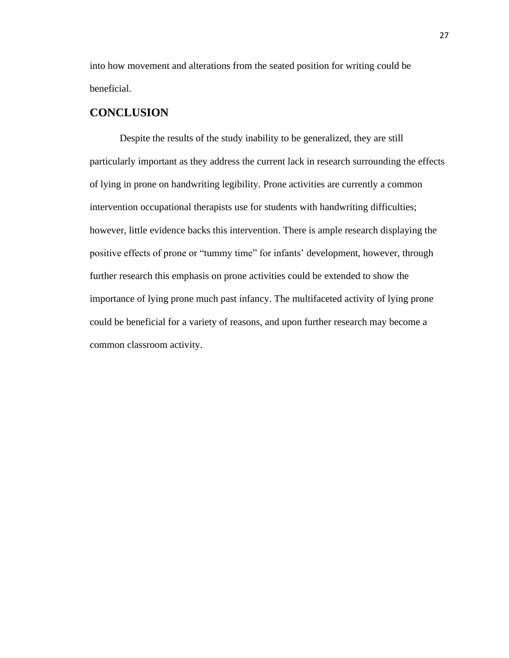into how movement and alterations from the seated position for writing could be beneficial.

# **CONCLUSION**

Despite the results of the study inability to be generalized, they are still particularly important as they address the current lack in research surrounding the effects of lying in prone on handwriting legibility. Prone activities are currently a common intervention occupational therapists use for students with handwriting difficulties; however, little evidence backs this intervention. There is ample research displaying the positive effects of prone or "tummy time" for infants' development, however, through further research this emphasis on prone activities could be extended to show the importance of lying prone much past infancy. The multifaceted activity of lying prone could be beneficial for a variety of reasons, and upon further research may become a common classroom activity.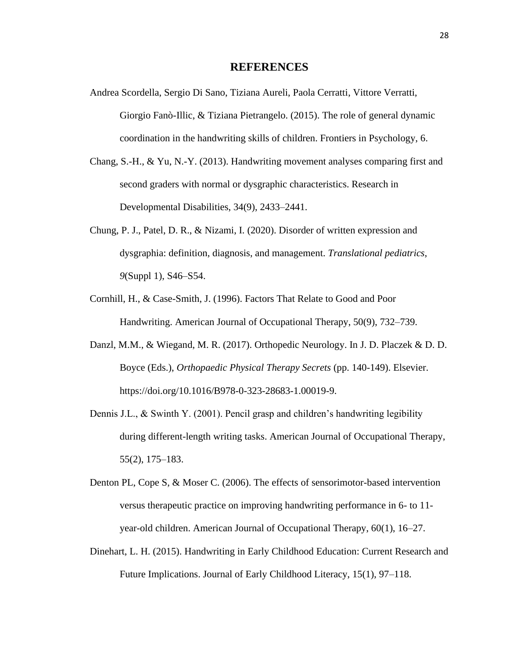### **REFERENCES**

- Andrea Scordella, Sergio Di Sano, Tiziana Aureli, Paola Cerratti, Vittore Verratti, Giorgio Fanò-Illic, & Tiziana Pietrangelo. (2015). The role of general dynamic coordination in the handwriting skills of children. Frontiers in Psychology, 6.
- Chang, S.-H., & Yu, N.-Y. (2013). Handwriting movement analyses comparing first and second graders with normal or dysgraphic characteristics. Research in Developmental Disabilities, 34(9), 2433–2441.
- Chung, P. J., Patel, D. R., & Nizami, I. (2020). Disorder of written expression and dysgraphia: definition, diagnosis, and management. *Translational pediatrics*, *9*(Suppl 1), S46–S54.
- Cornhill, H., & Case-Smith, J. (1996). Factors That Relate to Good and Poor Handwriting. American Journal of Occupational Therapy, 50(9), 732–739.
- Danzl, M.M., & Wiegand, M. R. (2017). Orthopedic Neurology. In J. D. Placzek & D. D. Boyce (Eds.), *Orthopaedic Physical Therapy Secrets* (pp. 140-149). Elsevier. https://doi.org/10.1016/B978-0-323-28683-1.00019-9.
- Dennis J.L., & Swinth Y. (2001). Pencil grasp and children's handwriting legibility during different-length writing tasks. American Journal of Occupational Therapy, 55(2), 175–183.
- Denton PL, Cope S, & Moser C. (2006). The effects of sensorimotor-based intervention versus therapeutic practice on improving handwriting performance in 6- to 11 year-old children. American Journal of Occupational Therapy, 60(1), 16–27.
- Dinehart, L. H. (2015). Handwriting in Early Childhood Education: Current Research and Future Implications. Journal of Early Childhood Literacy, 15(1), 97–118.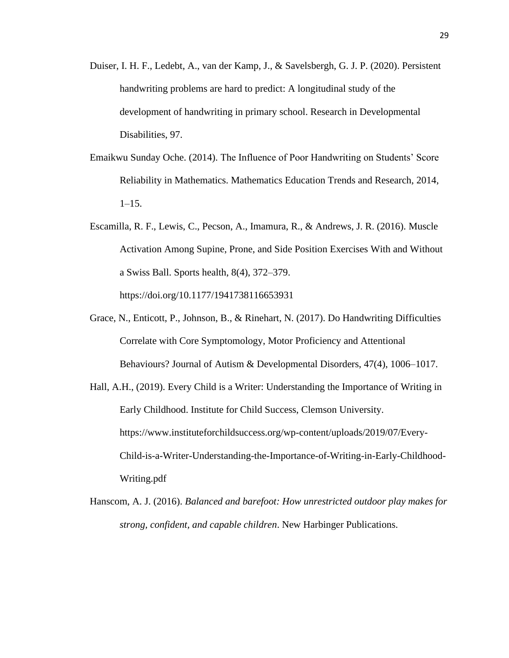- Duiser, I. H. F., Ledebt, A., van der Kamp, J., & Savelsbergh, G. J. P. (2020). Persistent handwriting problems are hard to predict: A longitudinal study of the development of handwriting in primary school. Research in Developmental Disabilities, 97.
- Emaikwu Sunday Oche. (2014). The Influence of Poor Handwriting on Students' Score Reliability in Mathematics. Mathematics Education Trends and Research, 2014,  $1-15$ .
- Escamilla, R. F., Lewis, C., Pecson, A., Imamura, R., & Andrews, J. R. (2016). Muscle Activation Among Supine, Prone, and Side Position Exercises With and Without a Swiss Ball. Sports health, 8(4), 372–379. https://doi.org/10.1177/1941738116653931
- Grace, N., Enticott, P., Johnson, B., & Rinehart, N. (2017). Do Handwriting Difficulties Correlate with Core Symptomology, Motor Proficiency and Attentional Behaviours? Journal of Autism & Developmental Disorders, 47(4), 1006–1017.
- Hall, A.H., (2019). Every Child is a Writer: Understanding the Importance of Writing in Early Childhood. Institute for Child Success, Clemson University. https://www.instituteforchildsuccess.org/wp-content/uploads/2019/07/Every-Child-is-a-Writer-Understanding-the-Importance-of-Writing-in-Early-Childhood-Writing.pdf
- Hanscom, A. J. (2016). *Balanced and barefoot: How unrestricted outdoor play makes for strong, confident, and capable children*. New Harbinger Publications.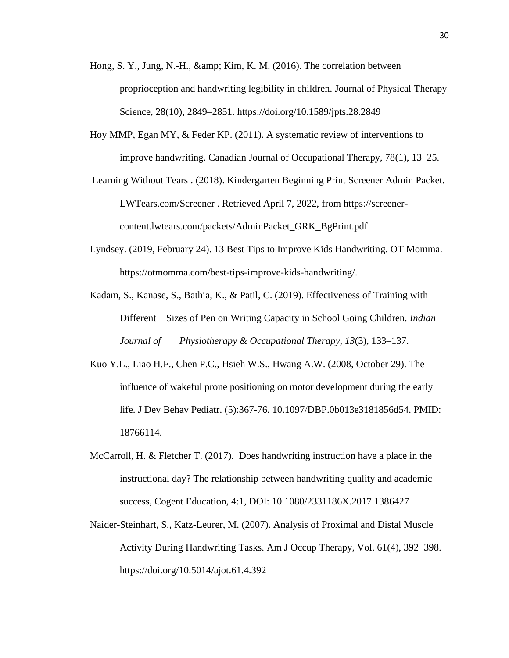- Hong, S. Y., Jung, N.-H.,  $\&Kim, K. M. (2016)$ . The correlation between proprioception and handwriting legibility in children. Journal of Physical Therapy Science, 28(10), 2849–2851. https://doi.org/10.1589/jpts.28.2849
- Hoy MMP, Egan MY, & Feder KP. (2011). A systematic review of interventions to improve handwriting. Canadian Journal of Occupational Therapy, 78(1), 13–25.
- Learning Without Tears . (2018). Kindergarten Beginning Print Screener Admin Packet. LWTears.com/Screener . Retrieved April 7, 2022, from https://screenercontent.lwtears.com/packets/AdminPacket\_GRK\_BgPrint.pdf
- Lyndsey. (2019, February 24). 13 Best Tips to Improve Kids Handwriting. OT Momma. https://otmomma.com/best-tips-improve-kids-handwriting/.
- Kadam, S., Kanase, S., Bathia, K., & Patil, C. (2019). Effectiveness of Training with Different Sizes of Pen on Writing Capacity in School Going Children. *Indian Journal of Physiotherapy & Occupational Therapy*, *13*(3), 133–137.
- Kuo Y.L., Liao H.F., Chen P.C., Hsieh W.S., Hwang A.W. (2008, October 29). The influence of wakeful prone positioning on motor development during the early life. J Dev Behav Pediatr. (5):367-76. 10.1097/DBP.0b013e3181856d54. PMID: 18766114.
- McCarroll, H. & Fletcher T. (2017). Does handwriting instruction have a place in the instructional day? The relationship between handwriting quality and academic success, Cogent Education, 4:1, DOI: 10.1080/2331186X.2017.1386427
- Naider-Steinhart, S., Katz-Leurer, M. (2007). Analysis of Proximal and Distal Muscle Activity During Handwriting Tasks. Am J Occup Therapy, Vol. 61(4), 392–398. https://doi.org/10.5014/ajot.61.4.392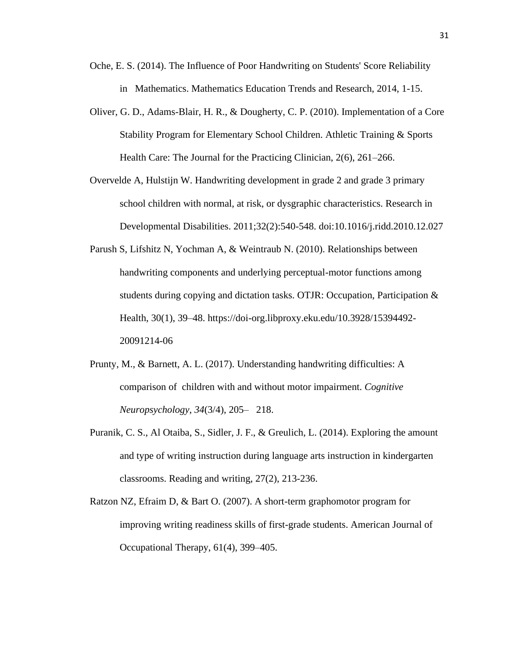- Oche, E. S. (2014). The Influence of Poor Handwriting on Students' Score Reliability in Mathematics. Mathematics Education Trends and Research, 2014, 1-15.
- Oliver, G. D., Adams-Blair, H. R., & Dougherty, C. P. (2010). Implementation of a Core Stability Program for Elementary School Children. Athletic Training & Sports Health Care: The Journal for the Practicing Clinician, 2(6), 261–266.
- Overvelde A, Hulstijn W. Handwriting development in grade 2 and grade 3 primary school children with normal, at risk, or dysgraphic characteristics. Research in Developmental Disabilities. 2011;32(2):540-548. doi:10.1016/j.ridd.2010.12.027
- Parush S, Lifshitz N, Yochman A, & Weintraub N. (2010). Relationships between handwriting components and underlying perceptual-motor functions among students during copying and dictation tasks. OTJR: Occupation, Participation & Health, 30(1), 39–48. https://doi-org.libproxy.eku.edu/10.3928/15394492- 20091214-06
- Prunty, M., & Barnett, A. L. (2017). Understanding handwriting difficulties: A comparison of children with and without motor impairment. *Cognitive Neuropsychology*, *34*(3/4), 205– 218.
- Puranik, C. S., Al Otaiba, S., Sidler, J. F., & Greulich, L. (2014). Exploring the amount and type of writing instruction during language arts instruction in kindergarten classrooms. Reading and writing, 27(2), 213-236.
- Ratzon NZ, Efraim D, & Bart O. (2007). A short-term graphomotor program for improving writing readiness skills of first-grade students. American Journal of Occupational Therapy, 61(4), 399–405.